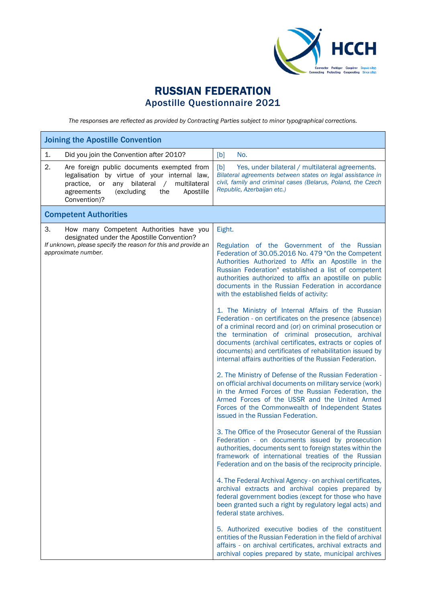

## RUSSIAN FEDERATION Apostille Questionnaire 2021

*The responses are reflected as provided by Contracting Parties subject to minor typographical corrections.*

| <b>Joining the Apostille Convention</b>                                                                                                                                                                                            |                                                                                                                                                                                                                                                                                                                                                                                                                                                                                                                                                                                                                                                                                                                                                                                                                                                                                                                                                                                                                                                                                                                                                                                                                                                                                                                                                                                                                                                                                                                                                                                                                                                                                                                                                                                                                                                                                                                                      |  |
|------------------------------------------------------------------------------------------------------------------------------------------------------------------------------------------------------------------------------------|--------------------------------------------------------------------------------------------------------------------------------------------------------------------------------------------------------------------------------------------------------------------------------------------------------------------------------------------------------------------------------------------------------------------------------------------------------------------------------------------------------------------------------------------------------------------------------------------------------------------------------------------------------------------------------------------------------------------------------------------------------------------------------------------------------------------------------------------------------------------------------------------------------------------------------------------------------------------------------------------------------------------------------------------------------------------------------------------------------------------------------------------------------------------------------------------------------------------------------------------------------------------------------------------------------------------------------------------------------------------------------------------------------------------------------------------------------------------------------------------------------------------------------------------------------------------------------------------------------------------------------------------------------------------------------------------------------------------------------------------------------------------------------------------------------------------------------------------------------------------------------------------------------------------------------------|--|
| 1.<br>Did you join the Convention after 2010?                                                                                                                                                                                      | No.<br>[b]                                                                                                                                                                                                                                                                                                                                                                                                                                                                                                                                                                                                                                                                                                                                                                                                                                                                                                                                                                                                                                                                                                                                                                                                                                                                                                                                                                                                                                                                                                                                                                                                                                                                                                                                                                                                                                                                                                                           |  |
| 2.<br>Are foreign public documents exempted from<br>legalisation by virtue of your internal law,<br>bilateral<br>multilateral<br>practice, or<br>any<br>$\sqrt{2}$<br>(excluding<br>the<br>Apostille<br>agreements<br>Convention)? | Yes, under bilateral / multilateral agreements.<br>[b]<br>Bilateral agreements between states on legal assistance in<br>civil, family and criminal cases (Belarus, Poland, the Czech<br>Republic, Azerbaijan etc.)                                                                                                                                                                                                                                                                                                                                                                                                                                                                                                                                                                                                                                                                                                                                                                                                                                                                                                                                                                                                                                                                                                                                                                                                                                                                                                                                                                                                                                                                                                                                                                                                                                                                                                                   |  |
| <b>Competent Authorities</b>                                                                                                                                                                                                       |                                                                                                                                                                                                                                                                                                                                                                                                                                                                                                                                                                                                                                                                                                                                                                                                                                                                                                                                                                                                                                                                                                                                                                                                                                                                                                                                                                                                                                                                                                                                                                                                                                                                                                                                                                                                                                                                                                                                      |  |
| 3.<br>How many Competent Authorities have you<br>designated under the Apostille Convention?<br>If unknown, please specify the reason for this and provide an<br>approximate number.                                                | Eight.<br>Regulation of the Government of the Russian<br>Federation of 30.05.2016 No. 479 "On the Competent<br>Authorities Authorized to Affix an Apostille in the<br>Russian Federation" established a list of competent<br>authorities authorized to affix an apostille on public<br>documents in the Russian Federation in accordance<br>with the established fields of activity:<br>1. The Ministry of Internal Affairs of the Russian<br>Federation - on certificates on the presence (absence)<br>of a criminal record and (or) on criminal prosecution or<br>the termination of criminal prosecution, archival<br>documents (archival certificates, extracts or copies of<br>documents) and certificates of rehabilitation issued by<br>internal affairs authorities of the Russian Federation.<br>2. The Ministry of Defense of the Russian Federation -<br>on official archival documents on military service (work)<br>in the Armed Forces of the Russian Federation, the<br>Armed Forces of the USSR and the United Armed<br>Forces of the Commonwealth of Independent States<br>issued in the Russian Federation.<br>3. The Office of the Prosecutor General of the Russian<br>Federation - on documents issued by prosecution<br>authorities, documents sent to foreign states within the<br>framework of international treaties of the Russian<br>Federation and on the basis of the reciprocity principle.<br>4. The Federal Archival Agency - on archival certificates,<br>archival extracts and archival copies prepared by<br>federal government bodies (except for those who have<br>been granted such a right by regulatory legal acts) and<br>federal state archives.<br>5. Authorized executive bodies of the constituent<br>entities of the Russian Federation in the field of archival<br>affairs - on archival certificates, archival extracts and<br>archival copies prepared by state, municipal archives |  |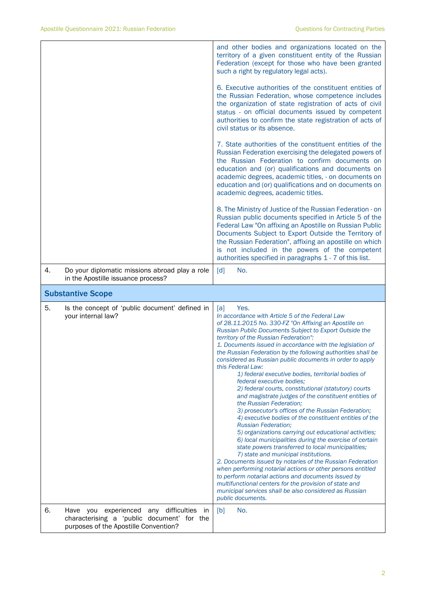|    |                                                                                      | and other bodies and organizations located on the<br>territory of a given constituent entity of the Russian<br>Federation (except for those who have been granted<br>such a right by regulatory legal acts).                                                                                                                                                                                                                                                                                                                                                                                                                                                                                                                                                                                                                                                                                                                                                                                                                                                                                                                                                                                                                                                                                                                                                    |
|----|--------------------------------------------------------------------------------------|-----------------------------------------------------------------------------------------------------------------------------------------------------------------------------------------------------------------------------------------------------------------------------------------------------------------------------------------------------------------------------------------------------------------------------------------------------------------------------------------------------------------------------------------------------------------------------------------------------------------------------------------------------------------------------------------------------------------------------------------------------------------------------------------------------------------------------------------------------------------------------------------------------------------------------------------------------------------------------------------------------------------------------------------------------------------------------------------------------------------------------------------------------------------------------------------------------------------------------------------------------------------------------------------------------------------------------------------------------------------|
|    |                                                                                      | 6. Executive authorities of the constituent entities of<br>the Russian Federation, whose competence includes<br>the organization of state registration of acts of civil<br>status - on official documents issued by competent<br>authorities to confirm the state registration of acts of<br>civil status or its absence.                                                                                                                                                                                                                                                                                                                                                                                                                                                                                                                                                                                                                                                                                                                                                                                                                                                                                                                                                                                                                                       |
|    |                                                                                      | 7. State authorities of the constituent entities of the<br>Russian Federation exercising the delegated powers of<br>the Russian Federation to confirm documents on<br>education and (or) qualifications and documents on<br>academic degrees, academic titles, - on documents on<br>education and (or) qualifications and on documents on<br>academic degrees, academic titles.                                                                                                                                                                                                                                                                                                                                                                                                                                                                                                                                                                                                                                                                                                                                                                                                                                                                                                                                                                                 |
|    |                                                                                      | 8. The Ministry of Justice of the Russian Federation - on<br>Russian public documents specified in Article 5 of the<br>Federal Law "On affixing an Apostille on Russian Public<br>Documents Subject to Export Outside the Territory of<br>the Russian Federation", affixing an apostille on which<br>is not included in the powers of the competent<br>authorities specified in paragraphs 1 - 7 of this list.                                                                                                                                                                                                                                                                                                                                                                                                                                                                                                                                                                                                                                                                                                                                                                                                                                                                                                                                                  |
| 4. | Do your diplomatic missions abroad play a role<br>in the Apostille issuance process? | No.<br>$\lceil d \rceil$                                                                                                                                                                                                                                                                                                                                                                                                                                                                                                                                                                                                                                                                                                                                                                                                                                                                                                                                                                                                                                                                                                                                                                                                                                                                                                                                        |
|    |                                                                                      |                                                                                                                                                                                                                                                                                                                                                                                                                                                                                                                                                                                                                                                                                                                                                                                                                                                                                                                                                                                                                                                                                                                                                                                                                                                                                                                                                                 |
|    | <b>Substantive Scope</b>                                                             |                                                                                                                                                                                                                                                                                                                                                                                                                                                                                                                                                                                                                                                                                                                                                                                                                                                                                                                                                                                                                                                                                                                                                                                                                                                                                                                                                                 |
| 5. | Is the concept of 'public document' defined in<br>your internal law?                 | Yes.<br>[a]<br>In accordance with Article 5 of the Federal Law<br>of 28.11.2015 No. 330-FZ "On Affixing an Apostille on<br>Russian Public Documents Subject to Export Outside the<br>territory of the Russian Federation":<br>1. Documents issued in accordance with the legislation of<br>the Russian Federation by the following authorities shall be<br>considered as Russian public documents in order to apply<br>this Federal Law:<br>1) federal executive bodies, territorial bodies of<br>federal executive bodies;<br>2) federal courts, constitutional (statutory) courts<br>and magistrate judges of the constituent entities of<br>the Russian Federation;<br>3) prosecutor's offices of the Russian Federation;<br>4) executive bodies of the constituent entities of the<br><b>Russian Federation;</b><br>5) organizations carrying out educational activities;<br>6) local municipalities during the exercise of certain<br>state powers transferred to local municipalities;<br>7) state and municipal institutions.<br>2. Documents issued by notaries of the Russian Federation<br>when performing notarial actions or other persons entitled<br>to perform notarial actions and documents issued by<br>multifunctional centers for the provision of state and<br>municipal services shall be also considered as Russian<br>public documents. |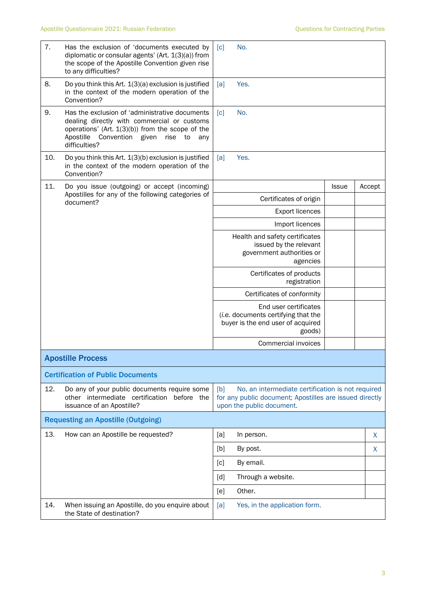| 7.  | Has the exclusion of 'documents executed by<br>diplomatic or consular agents' (Art. 1(3)(a)) from<br>the scope of the Apostille Convention given rise<br>to any difficulties?                                            | No.<br>$\lceil c \rceil$                                                                                                                         |        |
|-----|--------------------------------------------------------------------------------------------------------------------------------------------------------------------------------------------------------------------------|--------------------------------------------------------------------------------------------------------------------------------------------------|--------|
| 8.  | Do you think this Art. 1(3)(a) exclusion is justified<br>in the context of the modern operation of the<br>Convention?                                                                                                    | [a]<br>Yes.                                                                                                                                      |        |
| 9.  | Has the exclusion of 'administrative documents<br>dealing directly with commercial or customs<br>operations' (Art. $1(3)(b)$ ) from the scope of the<br>Apostille<br>Convention given<br>rise to<br>any<br>difficulties? | No.<br>$\lceil c \rceil$                                                                                                                         |        |
| 10. | Do you think this Art. 1(3)(b) exclusion is justified<br>in the context of the modern operation of the<br>Convention?                                                                                                    | Yes.<br>[a]                                                                                                                                      |        |
| 11. | Do you issue (outgoing) or accept (incoming)                                                                                                                                                                             | <b>Issue</b>                                                                                                                                     | Accept |
|     | Apostilles for any of the following categories of<br>document?                                                                                                                                                           | Certificates of origin                                                                                                                           |        |
|     |                                                                                                                                                                                                                          | <b>Export licences</b>                                                                                                                           |        |
|     |                                                                                                                                                                                                                          | Import licences                                                                                                                                  |        |
|     |                                                                                                                                                                                                                          | Health and safety certificates<br>issued by the relevant<br>government authorities or<br>agencies                                                |        |
|     |                                                                                                                                                                                                                          | Certificates of products<br>registration                                                                                                         |        |
|     |                                                                                                                                                                                                                          | Certificates of conformity                                                                                                                       |        |
|     |                                                                                                                                                                                                                          | End user certificates<br>(i.e. documents certifying that the<br>buyer is the end user of acquired<br>goods)                                      |        |
|     |                                                                                                                                                                                                                          | Commercial invoices                                                                                                                              |        |
|     | <b>Apostille Process</b>                                                                                                                                                                                                 |                                                                                                                                                  |        |
|     | <b>Certification of Public Documents</b>                                                                                                                                                                                 |                                                                                                                                                  |        |
| 12. | Do any of your public documents require some<br>other intermediate certification before the<br>issuance of an Apostille?                                                                                                 | No, an intermediate certification is not required<br>[b]<br>for any public document; Apostilles are issued directly<br>upon the public document. |        |
|     | <b>Requesting an Apostille (Outgoing)</b>                                                                                                                                                                                |                                                                                                                                                  |        |
| 13. | How can an Apostille be requested?                                                                                                                                                                                       | [a]<br>In person.                                                                                                                                | X      |
|     |                                                                                                                                                                                                                          | [b]<br>By post.                                                                                                                                  | X      |
|     |                                                                                                                                                                                                                          | By email.<br>[c]                                                                                                                                 |        |
|     |                                                                                                                                                                                                                          | Through a website.<br>[d]                                                                                                                        |        |
|     |                                                                                                                                                                                                                          | Other.<br>[e]                                                                                                                                    |        |
| 14. | When issuing an Apostille, do you enquire about<br>the State of destination?                                                                                                                                             | Yes, in the application form.<br>[a]                                                                                                             |        |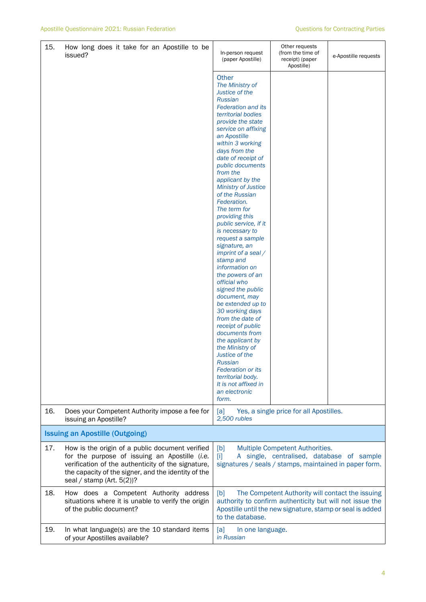| 15. | How long does it take for an Apostille to be<br>issued?                                                                                                                                                                                       | In-person request<br>(paper Apostille)                                                                                                                                                                                                                                                                                                                                                                                                                                                                                                                                                                                                                                                                                                                                                                                                                                                        | Other requests<br>(from the time of<br>receipt) (paper<br>Apostille) | e-Apostille requests |
|-----|-----------------------------------------------------------------------------------------------------------------------------------------------------------------------------------------------------------------------------------------------|-----------------------------------------------------------------------------------------------------------------------------------------------------------------------------------------------------------------------------------------------------------------------------------------------------------------------------------------------------------------------------------------------------------------------------------------------------------------------------------------------------------------------------------------------------------------------------------------------------------------------------------------------------------------------------------------------------------------------------------------------------------------------------------------------------------------------------------------------------------------------------------------------|----------------------------------------------------------------------|----------------------|
|     |                                                                                                                                                                                                                                               | <b>Other</b><br>The Ministry of<br>Justice of the<br><b>Russian</b><br><b>Federation and its</b><br>territorial bodies<br>provide the state<br>service on affixing<br>an Apostille<br>within 3 working<br>days from the<br>date of receipt of<br>public documents<br>from the<br>applicant by the<br><b>Ministry of Justice</b><br>of the Russian<br>Federation.<br>The term for<br>providing this<br>public service, if it<br>is necessary to<br>request a sample<br>signature, an<br>imprint of a seal /<br>stamp and<br>information on<br>the powers of an<br>official who<br>signed the public<br>document, may<br>be extended up to<br>30 working days<br>from the date of<br>receipt of public<br>documents from<br>the applicant by<br>the Ministry of<br>Justice of the<br>Russian<br><b>Federation or its</b><br>territorial body.<br>It is not affixed in<br>an electronic<br>form. |                                                                      |                      |
| 16. | Does your Competent Authority impose a fee for<br>issuing an Apostille?                                                                                                                                                                       | Yes, a single price for all Apostilles.<br>[a]<br>2,500 rubles                                                                                                                                                                                                                                                                                                                                                                                                                                                                                                                                                                                                                                                                                                                                                                                                                                |                                                                      |                      |
|     | <b>Issuing an Apostille (Outgoing)</b>                                                                                                                                                                                                        |                                                                                                                                                                                                                                                                                                                                                                                                                                                                                                                                                                                                                                                                                                                                                                                                                                                                                               |                                                                      |                      |
| 17. | How is the origin of a public document verified<br>for the purpose of issuing an Apostille (i.e.<br>verification of the authenticity of the signature,<br>the capacity of the signer, and the identity of the<br>seal / stamp (Art. $5(2)$ )? | [b]<br>Multiple Competent Authorities.<br>A single, centralised, database of sample<br>$[1]$<br>signatures / seals / stamps, maintained in paper form.                                                                                                                                                                                                                                                                                                                                                                                                                                                                                                                                                                                                                                                                                                                                        |                                                                      |                      |
| 18. | How does a Competent Authority address<br>situations where it is unable to verify the origin<br>of the public document?                                                                                                                       | [b]<br>The Competent Authority will contact the issuing<br>authority to confirm authenticity but will not issue the<br>Apostille until the new signature, stamp or seal is added<br>to the database.                                                                                                                                                                                                                                                                                                                                                                                                                                                                                                                                                                                                                                                                                          |                                                                      |                      |
| 19. | In what language(s) are the 10 standard items<br>of your Apostilles available?                                                                                                                                                                | [a]<br>In one language.<br>in Russian                                                                                                                                                                                                                                                                                                                                                                                                                                                                                                                                                                                                                                                                                                                                                                                                                                                         |                                                                      |                      |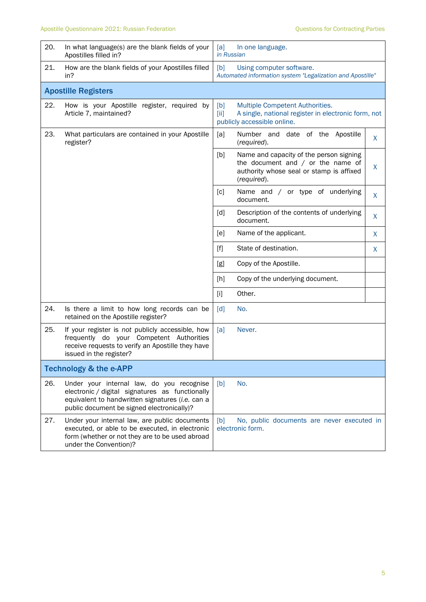| 20.                               | In what language(s) are the blank fields of your<br>Apostilles filled in?                                                                                                                      | [a]<br>In one language.<br>in Russian                                                                                                                 |  |  |  |
|-----------------------------------|------------------------------------------------------------------------------------------------------------------------------------------------------------------------------------------------|-------------------------------------------------------------------------------------------------------------------------------------------------------|--|--|--|
| 21.                               | How are the blank fields of your Apostilles filled<br>in?                                                                                                                                      | Using computer software.<br>[b]<br>Automated information system "Legalization and Apostille"                                                          |  |  |  |
|                                   | <b>Apostille Registers</b>                                                                                                                                                                     |                                                                                                                                                       |  |  |  |
| 22.                               | How is your Apostille register, required by<br>Article 7, maintained?                                                                                                                          | Multiple Competent Authorities.<br>[b]<br>[iii]<br>A single, national register in electronic form, not<br>publicly accessible online.                 |  |  |  |
| 23.                               | What particulars are contained in your Apostille<br>register?                                                                                                                                  | Number and date of the Apostille<br>[a]<br>X<br>(required).                                                                                           |  |  |  |
|                                   |                                                                                                                                                                                                | [b]<br>Name and capacity of the person signing<br>the document and $/$ or the name of<br>X<br>authority whose seal or stamp is affixed<br>(required). |  |  |  |
|                                   |                                                                                                                                                                                                | Name and / or type of underlying<br>[c]<br>X<br>document.                                                                                             |  |  |  |
|                                   |                                                                                                                                                                                                | [d]<br>Description of the contents of underlying<br>X<br>document.                                                                                    |  |  |  |
|                                   |                                                                                                                                                                                                | Name of the applicant.<br>[ <sub>e</sub> ]<br>X                                                                                                       |  |  |  |
|                                   |                                                                                                                                                                                                | State of destination.<br>$[f]$<br>X                                                                                                                   |  |  |  |
|                                   |                                                                                                                                                                                                | [g]<br>Copy of the Apostille.                                                                                                                         |  |  |  |
|                                   |                                                                                                                                                                                                | Copy of the underlying document.<br>[h]                                                                                                               |  |  |  |
|                                   |                                                                                                                                                                                                | Other.<br>$[1]$                                                                                                                                       |  |  |  |
| 24.                               | Is there a limit to how long records can be<br>retained on the Apostille register?                                                                                                             | [d]<br>No.                                                                                                                                            |  |  |  |
| 25.                               | If your register is not publicly accessible, how<br>frequently do your Competent Authorities<br>receive requests to verify an Apostille they have<br>issued in the register?                   | Never.<br>[a]                                                                                                                                         |  |  |  |
| <b>Technology &amp; the e-APP</b> |                                                                                                                                                                                                |                                                                                                                                                       |  |  |  |
| 26.                               | Under your internal law, do you recognise<br>electronic / digital signatures as functionally<br>equivalent to handwritten signatures (i.e. can a<br>public document be signed electronically)? | No.<br>[b]                                                                                                                                            |  |  |  |
| 27.                               | Under your internal law, are public documents<br>executed, or able to be executed, in electronic<br>form (whether or not they are to be used abroad<br>under the Convention)?                  | No, public documents are never executed in<br>[b]<br>electronic form.                                                                                 |  |  |  |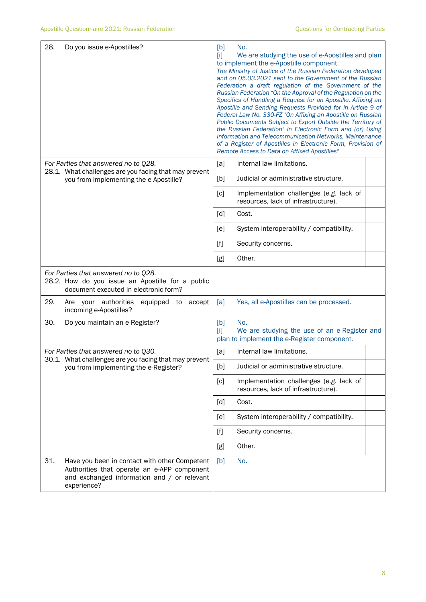| 28.<br>Do you issue e-Apostilles?                                                                                                                                 | No.<br>[b]<br>We are studying the use of e-Apostilles and plan<br>m<br>to implement the e-Apostille component.<br>The Ministry of Justice of the Russian Federation developed<br>and on 05.03.2021 sent to the Government of the Russian<br>Federation a draft regulation of the Government of the<br>Russian Federation "On the Approval of the Regulation on the<br>Specifics of Handling a Request for an Apostille, Affixing an<br>Apostille and Sending Requests Provided for in Article 9 of<br>Federal Law No. 330-FZ "On Affixing an Apostille on Russian<br>Public Documents Subject to Export Outside the Territory of<br>the Russian Federation" in Electronic Form and (or) Using<br>Information and Telecommunication Networks, Maintenance<br>of a Register of Apostilles in Electronic Form, Provision of<br>Remote Access to Data on Affixed Apostilles" |
|-------------------------------------------------------------------------------------------------------------------------------------------------------------------|--------------------------------------------------------------------------------------------------------------------------------------------------------------------------------------------------------------------------------------------------------------------------------------------------------------------------------------------------------------------------------------------------------------------------------------------------------------------------------------------------------------------------------------------------------------------------------------------------------------------------------------------------------------------------------------------------------------------------------------------------------------------------------------------------------------------------------------------------------------------------|
| For Parties that answered no to Q28.<br>28.1. What challenges are you facing that may prevent                                                                     | Internal law limitations.<br>[a]                                                                                                                                                                                                                                                                                                                                                                                                                                                                                                                                                                                                                                                                                                                                                                                                                                         |
| you from implementing the e-Apostille?                                                                                                                            | [b]<br>Judicial or administrative structure.                                                                                                                                                                                                                                                                                                                                                                                                                                                                                                                                                                                                                                                                                                                                                                                                                             |
|                                                                                                                                                                   | Implementation challenges (e.g. lack of<br>[c]<br>resources, lack of infrastructure).                                                                                                                                                                                                                                                                                                                                                                                                                                                                                                                                                                                                                                                                                                                                                                                    |
|                                                                                                                                                                   | [d]<br>Cost.                                                                                                                                                                                                                                                                                                                                                                                                                                                                                                                                                                                                                                                                                                                                                                                                                                                             |
|                                                                                                                                                                   | System interoperability / compatibility.<br>[e]                                                                                                                                                                                                                                                                                                                                                                                                                                                                                                                                                                                                                                                                                                                                                                                                                          |
|                                                                                                                                                                   | $[f]$<br>Security concerns.                                                                                                                                                                                                                                                                                                                                                                                                                                                                                                                                                                                                                                                                                                                                                                                                                                              |
|                                                                                                                                                                   | Other.<br>[g]                                                                                                                                                                                                                                                                                                                                                                                                                                                                                                                                                                                                                                                                                                                                                                                                                                                            |
| For Parties that answered no to Q28.<br>28.2. How do you issue an Apostille for a public<br>document executed in electronic form?                                 |                                                                                                                                                                                                                                                                                                                                                                                                                                                                                                                                                                                                                                                                                                                                                                                                                                                                          |
| 29.<br>Are your authorities<br>equipped to accept<br>incoming e-Apostilles?                                                                                       | Yes, all e-Apostilles can be processed.<br>[a]                                                                                                                                                                                                                                                                                                                                                                                                                                                                                                                                                                                                                                                                                                                                                                                                                           |
| 30.<br>Do you maintain an e-Register?                                                                                                                             | [b]<br>No.<br>We are studying the use of an e-Register and<br>$[1]$<br>plan to implement the e-Register component.                                                                                                                                                                                                                                                                                                                                                                                                                                                                                                                                                                                                                                                                                                                                                       |
| For Parties that answered no to Q30.                                                                                                                              | Internal law limitations.<br>[a]                                                                                                                                                                                                                                                                                                                                                                                                                                                                                                                                                                                                                                                                                                                                                                                                                                         |
| 30.1. What challenges are you facing that may prevent<br>you from implementing the e-Register?                                                                    | Judicial or administrative structure.<br>[b]                                                                                                                                                                                                                                                                                                                                                                                                                                                                                                                                                                                                                                                                                                                                                                                                                             |
|                                                                                                                                                                   | [c]<br>Implementation challenges (e.g. lack of<br>resources, lack of infrastructure).                                                                                                                                                                                                                                                                                                                                                                                                                                                                                                                                                                                                                                                                                                                                                                                    |
|                                                                                                                                                                   | [d]<br>Cost.                                                                                                                                                                                                                                                                                                                                                                                                                                                                                                                                                                                                                                                                                                                                                                                                                                                             |
|                                                                                                                                                                   | System interoperability / compatibility.<br>[e]                                                                                                                                                                                                                                                                                                                                                                                                                                                                                                                                                                                                                                                                                                                                                                                                                          |
|                                                                                                                                                                   | $[f]$<br>Security concerns.                                                                                                                                                                                                                                                                                                                                                                                                                                                                                                                                                                                                                                                                                                                                                                                                                                              |
|                                                                                                                                                                   | Other.<br>[g]                                                                                                                                                                                                                                                                                                                                                                                                                                                                                                                                                                                                                                                                                                                                                                                                                                                            |
| 31.<br>Have you been in contact with other Competent<br>Authorities that operate an e-APP component<br>and exchanged information and / or relevant<br>experience? | No.<br>[b]                                                                                                                                                                                                                                                                                                                                                                                                                                                                                                                                                                                                                                                                                                                                                                                                                                                               |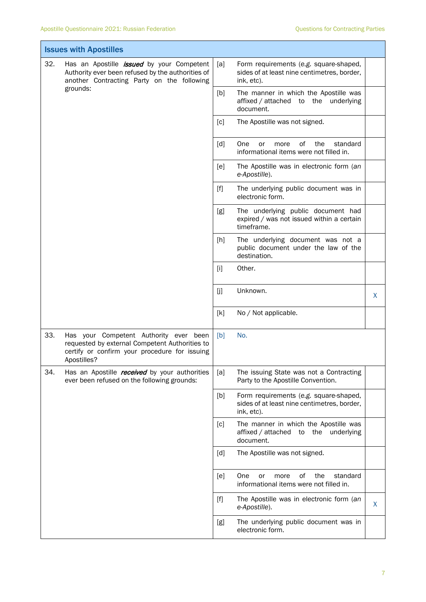| <b>Issues with Apostilles</b>                                                                                                                                          |                                                                                                                                                          |                                                                                            |                                                                                                     |   |
|------------------------------------------------------------------------------------------------------------------------------------------------------------------------|----------------------------------------------------------------------------------------------------------------------------------------------------------|--------------------------------------------------------------------------------------------|-----------------------------------------------------------------------------------------------------|---|
| 32.<br>Has an Apostille <i>issued</i> by your Competent<br>Authority ever been refused by the authorities of<br>another Contracting Party on the following<br>grounds: |                                                                                                                                                          | [a]                                                                                        | Form requirements (e.g. square-shaped,<br>sides of at least nine centimetres, border,<br>ink, etc). |   |
|                                                                                                                                                                        | [b]                                                                                                                                                      | The manner in which the Apostille was<br>affixed / attached to the underlying<br>document. |                                                                                                     |   |
|                                                                                                                                                                        |                                                                                                                                                          | [c]                                                                                        | The Apostille was not signed.                                                                       |   |
|                                                                                                                                                                        |                                                                                                                                                          | [d]                                                                                        | οf<br>the<br>standard<br>One<br>or<br>more<br>informational items were not filled in.               |   |
|                                                                                                                                                                        |                                                                                                                                                          | [e]                                                                                        | The Apostille was in electronic form (an<br>e-Apostille).                                           |   |
|                                                                                                                                                                        |                                                                                                                                                          | $[f]$                                                                                      | The underlying public document was in<br>electronic form.                                           |   |
|                                                                                                                                                                        |                                                                                                                                                          | [g]                                                                                        | The underlying public document had<br>expired / was not issued within a certain<br>timeframe.       |   |
|                                                                                                                                                                        |                                                                                                                                                          | [h]                                                                                        | The underlying document was not a<br>public document under the law of the<br>destination.           |   |
|                                                                                                                                                                        |                                                                                                                                                          | $[1]$                                                                                      | Other.                                                                                              |   |
|                                                                                                                                                                        |                                                                                                                                                          | [j]                                                                                        | Unknown.                                                                                            | X |
|                                                                                                                                                                        |                                                                                                                                                          | [k]                                                                                        | No / Not applicable.                                                                                |   |
| 33.                                                                                                                                                                    | Has your Competent Authority ever been<br>requested by external Competent Authorities to<br>certify or confirm your procedure for issuing<br>Apostilles? | [b]                                                                                        | No.                                                                                                 |   |
| 34.                                                                                                                                                                    | Has an Apostille <i>received</i> by your authorities<br>ever been refused on the following grounds:                                                      | [a]                                                                                        | The issuing State was not a Contracting<br>Party to the Apostille Convention.                       |   |
|                                                                                                                                                                        |                                                                                                                                                          | [b]                                                                                        | Form requirements (e.g. square-shaped,<br>sides of at least nine centimetres, border,<br>ink, etc). |   |
|                                                                                                                                                                        |                                                                                                                                                          | [c]                                                                                        | The manner in which the Apostille was<br>affixed / attached to the underlying<br>document.          |   |
|                                                                                                                                                                        |                                                                                                                                                          | [d]                                                                                        | The Apostille was not signed.                                                                       |   |
|                                                                                                                                                                        |                                                                                                                                                          | [e]                                                                                        | One<br>of<br>the<br>or<br>more<br>standard<br>informational items were not filled in.               |   |
|                                                                                                                                                                        |                                                                                                                                                          | $[f]$                                                                                      | The Apostille was in electronic form (an<br>e-Apostille).                                           | X |
|                                                                                                                                                                        |                                                                                                                                                          | [g]                                                                                        | The underlying public document was in<br>electronic form.                                           |   |